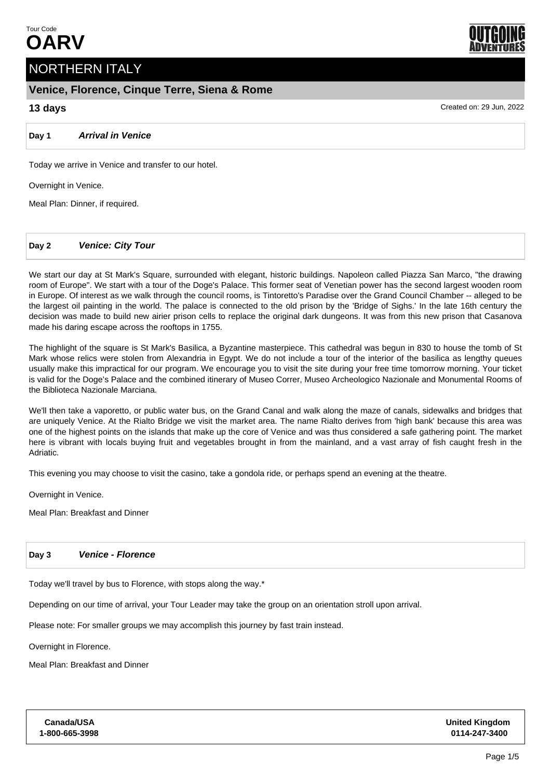

# **Venice, Florence, Cinque Terre, Siena & Rome**

**Day 1 Arrival in Venice**

Today we arrive in Venice and transfer to our hotel.

Overnight in Venice.

Meal Plan: Dinner, if required.

**Day 2 Venice: City Tour**

We start our day at St Mark's Square, surrounded with elegant, historic buildings. Napoleon called Piazza San Marco, "the drawing room of Europe". We start with a tour of the Doge's Palace. This former seat of Venetian power has the second largest wooden room in Europe. Of interest as we walk through the council rooms, is Tintoretto's Paradise over the Grand Council Chamber -- alleged to be the largest oil painting in the world. The palace is connected to the old prison by the 'Bridge of Sighs.' In the late 16th century the decision was made to build new airier prison cells to replace the original dark dungeons. It was from this new prison that Casanova made his daring escape across the rooftops in 1755.

The highlight of the square is St Mark's Basilica, a Byzantine masterpiece. This cathedral was begun in 830 to house the tomb of St Mark whose relics were stolen from Alexandria in Egypt. We do not include a tour of the interior of the basilica as lengthy queues usually make this impractical for our program. We encourage you to visit the site during your free time tomorrow morning. Your ticket is valid for the Doge's Palace and the combined itinerary of Museo Correr, Museo Archeologico Nazionale and Monumental Rooms of the Biblioteca Nazionale Marciana.

We'll then take a vaporetto, or public water bus, on the Grand Canal and walk along the maze of canals, sidewalks and bridges that are uniquely Venice. At the Rialto Bridge we visit the market area. The name Rialto derives from 'high bank' because this area was one of the highest points on the islands that make up the core of Venice and was thus considered a safe gathering point. The market here is vibrant with locals buying fruit and vegetables brought in from the mainland, and a vast array of fish caught fresh in the Adriatic.

This evening you may choose to visit the casino, take a gondola ride, or perhaps spend an evening at the theatre.

Overnight in Venice.

Meal Plan: Breakfast and Dinner

## **Day 3 Venice - Florence**

Today we'll travel by bus to Florence, with stops along the way.\*

Depending on our time of arrival, your Tour Leader may take the group on an orientation stroll upon arrival.

Please note: For smaller groups we may accomplish this journey by fast train instead.

Overnight in Florence.

**Canada/USA**

Meal Plan: Breakfast and Dinner



**13 days** Created on: 29 Jun, 2022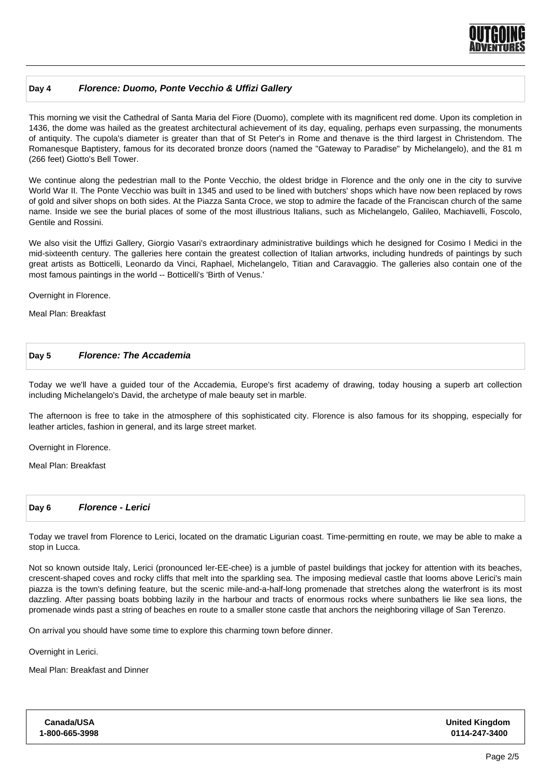

# **Day 4 Florence: Duomo, Ponte Vecchio & Uffizi Gallery**

This morning we visit the Cathedral of Santa Maria del Fiore (Duomo), complete with its magnificent red dome. Upon its completion in 1436, the dome was hailed as the greatest architectural achievement of its day, equaling, perhaps even surpassing, the monuments of antiquity. The cupola's diameter is greater than that of St Peter's in Rome and thenave is the third largest in Christendom. The Romanesque Baptistery, famous for its decorated bronze doors (named the "Gateway to Paradise" by Michelangelo), and the 81 m (266 feet) Giotto's Bell Tower.

We continue along the pedestrian mall to the Ponte Vecchio, the oldest bridge in Florence and the only one in the city to survive World War II. The Ponte Vecchio was built in 1345 and used to be lined with butchers' shops which have now been replaced by rows of gold and silver shops on both sides. At the Piazza Santa Croce, we stop to admire the facade of the Franciscan church of the same name. Inside we see the burial places of some of the most illustrious Italians, such as Michelangelo, Galileo, Machiavelli, Foscolo, Gentile and Rossini.

We also visit the Uffizi Gallery, Giorgio Vasari's extraordinary administrative buildings which he designed for Cosimo I Medici in the mid-sixteenth century. The galleries here contain the greatest collection of Italian artworks, including hundreds of paintings by such great artists as Botticelli, Leonardo da Vinci, Raphael, Michelangelo, Titian and Caravaggio. The galleries also contain one of the most famous paintings in the world -- Botticelli's 'Birth of Venus.'

Overnight in Florence.

Meal Plan: Breakfast

#### **Day 5 Florence: The Accademia**

Today we we'll have a guided tour of the Accademia, Europe's first academy of drawing, today housing a superb art collection including Michelangelo's David, the archetype of male beauty set in marble.

The afternoon is free to take in the atmosphere of this sophisticated city. Florence is also famous for its shopping, especially for leather articles, fashion in general, and its large street market.

Overnight in Florence.

Meal Plan: Breakfast

| Day 6 | <b>Florence - Lerici</b> |
|-------|--------------------------|
|-------|--------------------------|

Today we travel from Florence to Lerici, located on the dramatic Ligurian coast. Time-permitting en route, we may be able to make a stop in Lucca.

Not so known outside Italy, Lerici (pronounced ler-EE-chee) is a jumble of pastel buildings that jockey for attention with its beaches, crescent-shaped coves and rocky cliffs that melt into the sparkling sea. The imposing medieval castle that looms above Lerici's main piazza is the town's defining feature, but the scenic mile-and-a-half-long promenade that stretches along the waterfront is its most dazzling. After passing boats bobbing lazily in the harbour and tracts of enormous rocks where sunbathers lie like sea lions, the promenade winds past a string of beaches en route to a smaller stone castle that anchors the neighboring village of San Terenzo.

On arrival you should have some time to explore this charming town before dinner.

Overnight in Lerici.

Cana **1-800-**

Meal Plan: Breakfast and Dinner

| ıda/USA  | <b>United Kingdom</b> |
|----------|-----------------------|
| 665-3998 | 0114-247-3400         |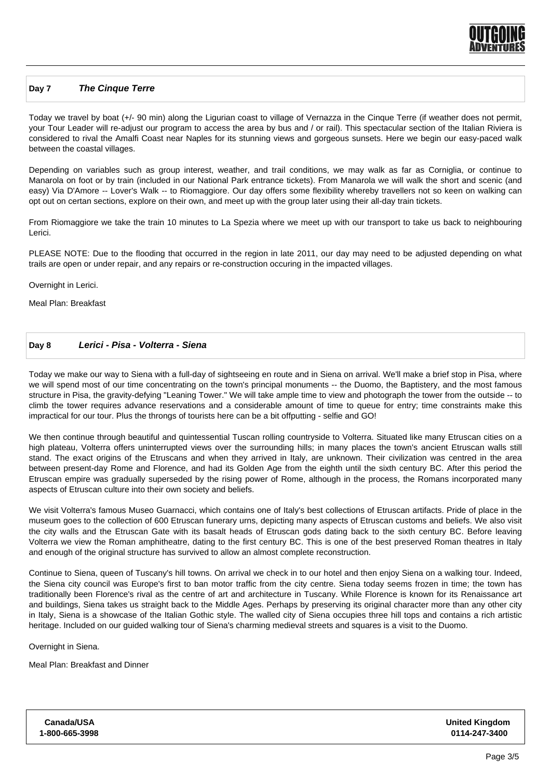

#### **Day 7 The Cinque Terre**

Today we travel by boat (+/- 90 min) along the Ligurian coast to village of Vernazza in the Cinque Terre (if weather does not permit, your Tour Leader will re-adjust our program to access the area by bus and / or rail). This spectacular section of the Italian Riviera is considered to rival the Amalfi Coast near Naples for its stunning views and gorgeous sunsets. Here we begin our easy-paced walk between the coastal villages.

Depending on variables such as group interest, weather, and trail conditions, we may walk as far as Corniglia, or continue to Manarola on foot or by train (included in our National Park entrance tickets). From Manarola we will walk the short and scenic (and easy) Via D'Amore -- Lover's Walk -- to Riomaggiore. Our day offers some flexibility whereby travellers not so keen on walking can opt out on certan sections, explore on their own, and meet up with the group later using their all-day train tickets.

From Riomaggiore we take the train 10 minutes to La Spezia where we meet up with our transport to take us back to neighbouring Lerici.

PLEASE NOTE: Due to the flooding that occurred in the region in late 2011, our day may need to be adjusted depending on what trails are open or under repair, and any repairs or re-construction occuring in the impacted villages.

Overnight in Lerici.

Meal Plan: Breakfast

#### **Day 8 Lerici - Pisa - Volterra - Siena**

Today we make our way to Siena with a full-day of sightseeing en route and in Siena on arrival. We'll make a brief stop in Pisa, where we will spend most of our time concentrating on the town's principal monuments -- the Duomo, the Baptistery, and the most famous structure in Pisa, the gravity-defying "Leaning Tower." We will take ample time to view and photograph the tower from the outside -- to climb the tower requires advance reservations and a considerable amount of time to queue for entry; time constraints make this impractical for our tour. Plus the throngs of tourists here can be a bit offputting - selfie and GO!

We then continue through beautiful and quintessential Tuscan rolling countryside to Volterra. Situated like many Etruscan cities on a high plateau, Volterra offers uninterrupted views over the surrounding hills; in many places the town's ancient Etruscan walls still stand. The exact origins of the Etruscans and when they arrived in Italy, are unknown. Their civilization was centred in the area between present-day Rome and Florence, and had its Golden Age from the eighth until the sixth century BC. After this period the Etruscan empire was gradually superseded by the rising power of Rome, although in the process, the Romans incorporated many aspects of Etruscan culture into their own society and beliefs.

We visit Volterra's famous Museo Guarnacci, which contains one of Italy's best collections of Etruscan artifacts. Pride of place in the museum goes to the collection of 600 Etruscan funerary urns, depicting many aspects of Etruscan customs and beliefs. We also visit the city walls and the Etruscan Gate with its basalt heads of Etruscan gods dating back to the sixth century BC. Before leaving Volterra we view the Roman amphitheatre, dating to the first century BC. This is one of the best preserved Roman theatres in Italy and enough of the original structure has survived to allow an almost complete reconstruction.

Continue to Siena, queen of Tuscany's hill towns. On arrival we check in to our hotel and then enjoy Siena on a walking tour. Indeed, the Siena city council was Europe's first to ban motor traffic from the city centre. Siena today seems frozen in time; the town has traditionally been Florence's rival as the centre of art and architecture in Tuscany. While Florence is known for its Renaissance art and buildings, Siena takes us straight back to the Middle Ages. Perhaps by preserving its original character more than any other city in Italy, Siena is a showcase of the Italian Gothic style. The walled city of Siena occupies three hill tops and contains a rich artistic heritage. Included on our guided walking tour of Siena's charming medieval streets and squares is a visit to the Duomo.

Overnight in Siena.

Meal Plan: Breakfast and Dinner

| Canada/USA     |  |
|----------------|--|
| 1-800-665-3998 |  |

**United Kingdom 0114-247-3400**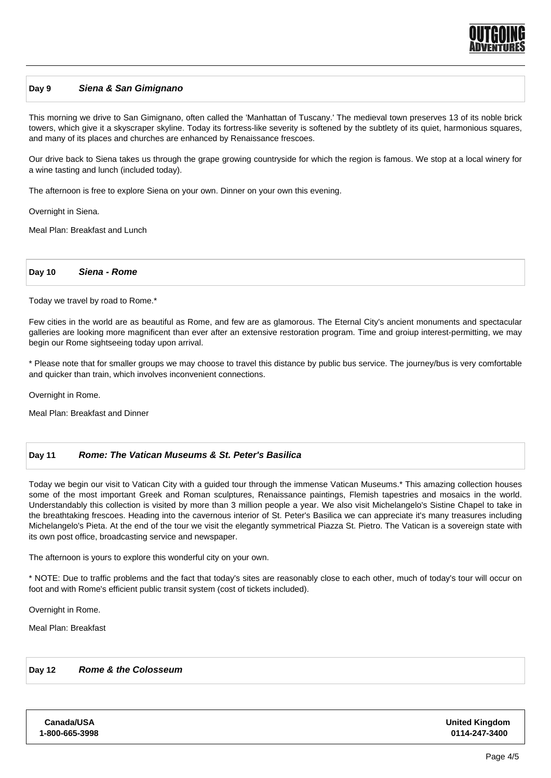

#### **Day 9 Siena & San Gimignano**

This morning we drive to San Gimignano, often called the 'Manhattan of Tuscany.' The medieval town preserves 13 of its noble brick towers, which give it a skyscraper skyline. Today its fortress-like severity is softened by the subtlety of its quiet, harmonious squares, and many of its places and churches are enhanced by Renaissance frescoes.

Our drive back to Siena takes us through the grape growing countryside for which the region is famous. We stop at a local winery for a wine tasting and lunch (included today).

The afternoon is free to explore Siena on your own. Dinner on your own this evening.

Overnight in Siena.

Meal Plan: Breakfast and Lunch

**Day 10 Siena - Rome**

Today we travel by road to Rome.\*

Few cities in the world are as beautiful as Rome, and few are as glamorous. The Eternal City's ancient monuments and spectacular galleries are looking more magnificent than ever after an extensive restoration program. Time and groiup interest-permitting, we may begin our Rome sightseeing today upon arrival.

\* Please note that for smaller groups we may choose to travel this distance by public bus service. The journey/bus is very comfortable and quicker than train, which involves inconvenient connections.

Overnight in Rome.

Meal Plan: Breakfast and Dinner

### **Day 11 Rome: The Vatican Museums & St. Peter's Basilica**

Today we begin our visit to Vatican City with a guided tour through the immense Vatican Museums.\* This amazing collection houses some of the most important Greek and Roman sculptures, Renaissance paintings, Flemish tapestries and mosaics in the world. Understandably this collection is visited by more than 3 million people a year. We also visit Michelangelo's Sistine Chapel to take in the breathtaking frescoes. Heading into the cavernous interior of St. Peter's Basilica we can appreciate it's many treasures including Michelangelo's Pieta. At the end of the tour we visit the elegantly symmetrical Piazza St. Pietro. The Vatican is a sovereign state with its own post office, broadcasting service and newspaper.

The afternoon is yours to explore this wonderful city on your own.

\* NOTE: Due to traffic problems and the fact that today's sites are reasonably close to each other, much of today's tour will occur on foot and with Rome's efficient public transit system (cost of tickets included).

Overnight in Rome.

Meal Plan: Breakfast

# **Day 12 Rome & the Colosseum**

**Canada/USA 1-800-665-3998** **United Kingdom 0114-247-3400**